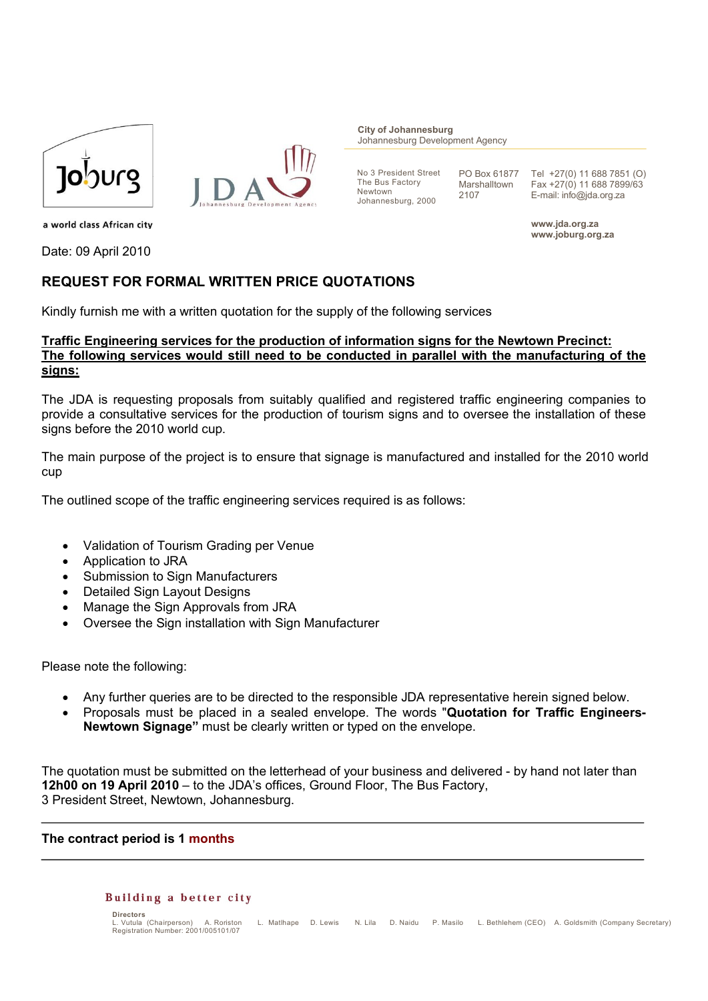



**City of Johannesburg** Johannesburg Development Agency

No 3 President Street The Bus Factory Newtown Johannesburg, 2000

PO Box 61877 Marshalltown 2107

Tel +27(0) 11 688 7851 (O) Fax +27(0) 11 688 7899/63 E-mail: info@jda.org.za

**www.jda.org.za www.joburg.org.za**

a world class African city

Date: 09 April 2010

## **REQUEST FOR FORMAL WRITTEN PRICE QUOTATIONS**

Kindly furnish me with a written quotation for the supply of the following services

## **Traffic Engineering services for the production of information signs for the Newtown Precinct: The following services would still need to be conducted in parallel with the manufacturing of the signs:**

The JDA is requesting proposals from suitably qualified and registered traffic engineering companies to provide a consultative services for the production of tourism signs and to oversee the installation of these signs before the 2010 world cup.

The main purpose of the project is to ensure that signage is manufactured and installed for the 2010 world cup

The outlined scope of the traffic engineering services required is as follows:

- Validation of Tourism Grading per Venue
- Application to JRA
- Submission to Sign Manufacturers
- Detailed Sign Layout Designs
- Manage the Sign Approvals from JRA
- Oversee the Sign installation with Sign Manufacturer

Please note the following:

- Any further queries are to be directed to the responsible JDA representative herein signed below.
- Proposals must be placed in a sealed envelope. The words "**Quotation for Traffic Engineers-Newtown Signage"** must be clearly written or typed on the envelope.

The quotation must be submitted on the letterhead of your business and delivered - by hand not later than **12h00 on 19 April 2010** – to the JDA's offices, Ground Floor, The Bus Factory, 3 President Street, Newtown, Johannesburg.

**The contract period is 1 months** 

## **Building a better city**

```
Directors<br>La Vutula (Chairnerson)
                               L. Vutula (Chairperson) A. Roriston L. Matlhape D. Lewis N. Lila D. Naidu P. Masilo L. Bethlehem (CEO) A. Goldsmith (Company Secretary)
E. vutua (Changerson) A. Ronston<br>Registration Number: 2001/005101/07
```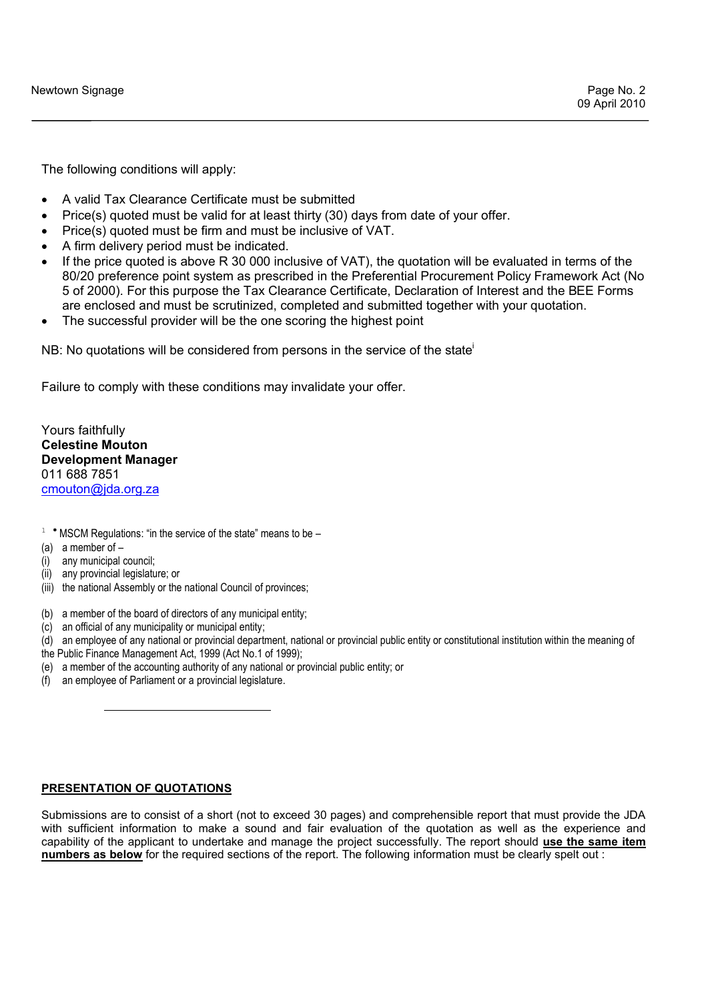The following conditions will apply:

- A valid Tax Clearance Certificate must be submitted
- Price(s) quoted must be valid for at least thirty (30) days from date of your offer.
- Price(s) quoted must be firm and must be inclusive of VAT.
- A firm delivery period must be indicated.
- If the price quoted is above R 30 000 inclusive of VAT), the quotation will be evaluated in terms of the 80/20 preference point system as prescribed in the Preferential Procurement Policy Framework Act (No 5 of 2000). For this purpose the Tax Clearance Certificate, Declaration of Interest and the BEE Forms are enclosed and must be scrutinized, completed and submitted together with your quotation.
- The successful provider will be the one scoring the highest point

NB: No quotations will be considered from persons in the service of the state

Failure to comply with these conditions may invalidate your offer.

Yours faithfully **Celestine Mouton Development Manager** 011 688 7851 cmouton@jda.org.za

- $1$  \* MSCM Regulations: "in the service of the state" means to be -
- (a) a member of –
- (i) any municipal council;

 $\overline{a}$ 

- (ii) any provincial legislature; or
- (iii) the national Assembly or the national Council of provinces:
- (b) a member of the board of directors of any municipal entity;
- (c) an official of any municipality or municipal entity;
- (d) an employee of any national or provincial department, national or provincial public entity or constitutional institution within the meaning of
- the Public Finance Management Act, 1999 (Act No.1 of 1999);
- (e) a member of the accounting authority of any national or provincial public entity; or
- (f) an employee of Parliament or a provincial legislature.

## **PRESENTATION OF QUOTATIONS**

Submissions are to consist of a short (not to exceed 30 pages) and comprehensible report that must provide the JDA with sufficient information to make a sound and fair evaluation of the quotation as well as the experience and capability of the applicant to undertake and manage the project successfully. The report should **use the same item numbers as below** for the required sections of the report. The following information must be clearly spelt out :